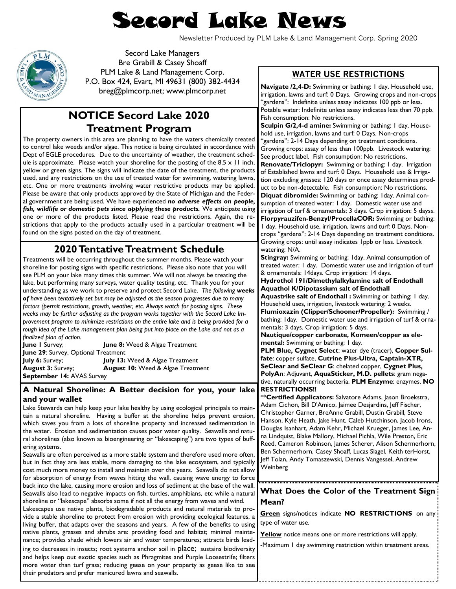# Secord Lake News

Newsletter Produced by PLM Lake & Land Management Corp. Spring 2020



Secord Lake Managers Bre Grabill & Casey Shoaff PLM Lake & Land Management Corp. P.O. Box 424, Evart, MI 49631 (800) 382-4434 breg@plmcorp.net; www.plmcorp.net

## **NOTICE Secord Lake 2020 Treatment Program**

The property owners in this area are planning to have the waters chemically treated to control lake weeds and/or algae. This notice is being circulated in accordance with Dept of EGLE procedures. Due to the uncertainty of weather, the treatment schedule is approximate. Please watch your shoreline for the posting of the 8.5  $\times$  11 inch, yellow or green signs. The signs will indicate the date of the treatment, the products used, and any restrictions on the use of treated water for swimming, watering lawns, etc. One or more treatments involving water restrictive products may be applied. Please be aware that only products approved by the State of Michigan and the Federal government are being used. We have experienced *no adverse effects on people,*  fish, wildlife or domestic pets since applying these products. We anticipate using one or more of the products listed. Please read the restrictions. Again, the restrictions that apply to the products actually used in a particular treatment will be found on the signs posted on the day of treatment.

## **2020 Tentative Treatment Schedule**

Treatments will be occurring throughout the summer months. Please watch your shoreline for posting signs with specific restrictions. Please also note that you will see PLM on your lake many times this summer. We will not always be treating the lake, but performing many surveys, water quality testing, etc. Thank you for your understanding as we work to preserve and protect Secord Lake. *The following weeks of have been tentatively set but may be adjusted as the season progresses due to many factors (permit restrictions, growth, weather, etc. Always watch for posting signs. These weeks may be further adjusting as the program works together with the Secord Lake Improvement program to minimize restrictions on the entire lake and is being provided for a*  rough idea of the Lake management plan being put into place on the Lake and not as a *finalized plan of action.* 

**June 1** Survey; **June 8:** Weed & Algae Treatment **June 29**: Survey, Optional Treatment **July 6:** Survey; **July 13:** Weed & Algae Treatment **August 3:** Survey; **August 10:** Weed & Algae Treatment **September 14:** AVAS Survey

#### **A Natural Shoreline: A Better decision for you, your lake and your wallet**

Lake Stewards can help keep your lake healthy by using ecological principals to maintain a natural shoreline. Having a buffer at the shoreline helps prevent erosion, which saves you from a loss of shoreline property and increased sedimentation in the water. Erosion and sedimentation causes poor water quality. Seawalls and natural shorelines (also known as bioengineering or "lakescaping") are two types of buffering systems.

Seawalls are often perceived as a more stable system and therefore used more often, but in fact they are less stable, more damaging to the lake ecosystem, and typically cost much more money to install and maintain over the years. Seawalls do not allow for absorption of energy from waves hitting the wall, causing wave energy to force back into the lake, causing more erosion and loss of sediment at the base of the wall. Seawalls also lead to negative impacts on fish, turtles, amphibians, etc while a natural shoreline or "lakescape" absorbs some if not all the energy from waves and wind. Lakescapes use native plants, biodegradable products and natural materials to provide a stable shoreline to protect from erosion with providing ecological features, a living buffer, that adapts over the seasons and years. A few of the benefits to using native plants, grasses and shrubs are: providing food and habitat; minimal maintenance; provides shade which lowers air and water temperatures; attracts birds leading to decreases in insects; root systems anchor soil in place; sustains biodiversity and helps keep out exotic species such as Phragmites and Purple Loosestrife; filters more water than turf grass; reducing geese on your property as geese like to see

their predators and prefer manicured lawns and seawalls.

#### **WATER USE RESTRICTIONS**

**Navigate /2,4-D:** Swimming or bathing: 1 day. Household use, irrigation, lawns and turf: 0 Days. Growing crops and non-crops "gardens": Indefinite unless assay indicates 100 ppb or less. Potable water: Indefinite unless assay indicates less than 70 ppb. Fish consumption: No restrictions.

**Sculpin G/2,4-d amine:** Swimming or bathing: 1 day. Household use, irrigation, lawns and turf: 0 Days. Non-crops "gardens": 2-14 Days depending on treatment conditions. Growing crops: assay of less than 100ppb. Livestock watering: See product label. Fish consumption: No restrictions.

**Renovate/Triclopyr:** Swimming or bathing: 1 day. Irrigation of Established lawns and turf: 0 Days. Household use & Irrigation excluding grasses: 120 days or once assay determines product to be non-detectable. Fish consumption: No restrictions. **Diquat dibromide:** Swimming or bathing: 1day. Animal consumption of treated water: 1 day. Domestic water use and irrigation of turf & ornamentals: 3 days. Crop irrigation: 5 dayss. **Florpyrauzifen-Benzyl/ProcellaCOR:** Swimming or bathing: 1 day. Household use, irrigation, lawns and turf: 0 Days. Noncrops "gardens": 2-14 Days depending on treatment conditions. Growing crops: until assay indicates 1ppb or less. Livestock watering: N/A.

**Stingray:** Swimming or bathing: 1day. Animal consumption of treated water: 1 day. Domestic water use and irrigation of turf & ornamentals: 14days. Crop irrigation: 14 days.

**Hydrothol 191/Dimethylalkylamine salt of Endothall Aquathol K/Dipotassium salt of Endothall**

**Aquastrike salt of Endothall :** Swimming or bathing: 1 day. Household uses, irrigation, livestock watering: 2 weeks. **Flumioxazin (Clipper/Schooner/Propeller):** Swimming / bathing: 1day. Domestic water use and irrigation of turf & ornamentals: 3 days. Crop irrigation: 5 days.

**Nautique/copper carbonate, Komeen/copper as elemental:** Swimming or bathing: 1 day.

**PLM Blue, Cygnet Select**: water dye (tracer), **Copper Sulfate**: copper sulfate, **Cutrine Plus-Ultra, Captain-XTR, SeClear and SeClear G**: chelated copper, **Cygnet Plus, PolyAn**: Adjuvant, **AquaSticker, M.D. pellets**: gram negative, naturally occurring bacteria. **PLM Enzyme**: enzymes, **NO RESTRICTIONS!!** 

\*\***Certified Applicators:** Salvatore Adams, Jason Broekstra, Adam Cichon, Bill D'Amico, Jaimee Desjardins, Jeff Fischer, Christopher Garner, BreAnne Grabill, Dustin Grabill, Steve Hanson, Kyle Heath, Jake Hunt, Caleb Hutchinson, Jacob Irons, Douglas Isanhart, Adam Kehr, Michael Krueger, James Lee, Anna Lindquist, Blake Mallory, Michael Pichla, Wile Preston, Eric Reed, Cameron Robinson, James Scherer, Alison Schermerhorn, Ben Schermerhorn, Casey Shoaff, Lucas Slagel, Keith terHorst, Jeff Tolan, Andy Tomaszewski, Dennis Vangessel, Andrew Weinberg

#### **What Does the Color of the Treatment Sign Mean?**

**Green** signs/notices indicate **NO RESTRICTIONS** on any type of water use.

Yellow notice means one or more restrictions will apply.

-Maximum 1 day swimming restriction within treatment areas.